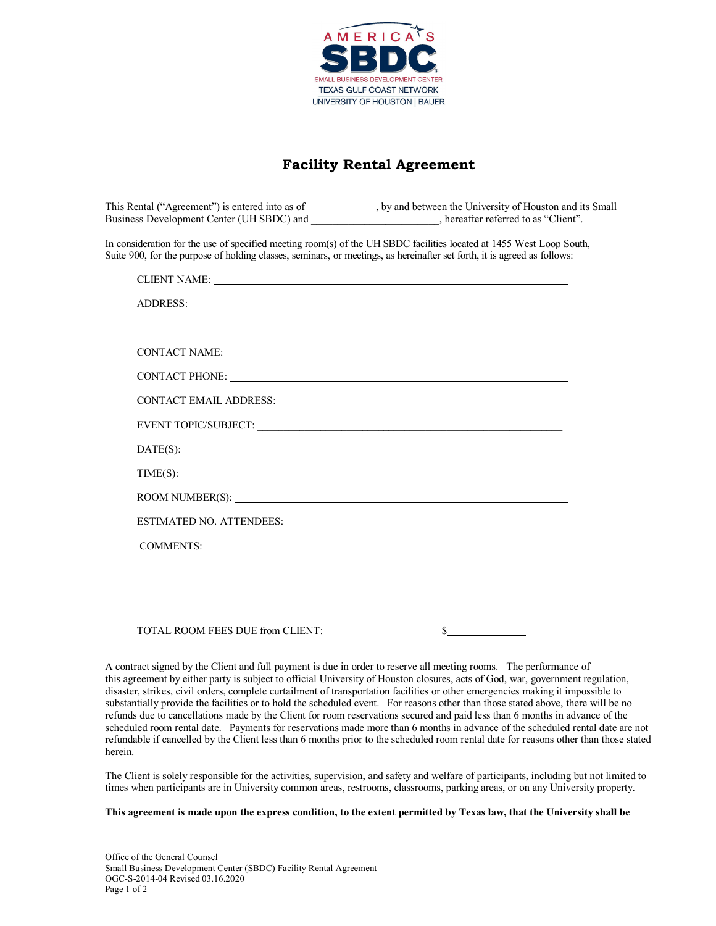

## **Facility Rental Agreement**

This Rental ("Agreement") is entered into as of \_\_\_\_\_\_\_\_\_\_\_, by and between the University of Houston and its Small Business Development Center (UH SBDC) and  $\qquad \qquad$ , hereafter referred to as "Client".

In consideration for the use of specified meeting room(s) of the UH SBDC facilities located at 1455 West Loop South, Suite 900, for the purpose of holding classes, seminars, or meetings, as hereinafter set forth, it is agreed as follows:

| CLIENT NAME: NAME:                                                                                                                                                                                                             |
|--------------------------------------------------------------------------------------------------------------------------------------------------------------------------------------------------------------------------------|
|                                                                                                                                                                                                                                |
| and the control of the control of the control of the control of the control of the control of the control of the                                                                                                               |
| CONTACT NAME: NAME:                                                                                                                                                                                                            |
| CONTACT PHONE: NAMEL AND THE SERVICE OF THE SERVICE OF THE SERVICE OF THE SERVICE OF THE SERVICE OF THE SERVICE OF THE SERVICE OF THE SERVICE OF THE SERVICE OF THE SERVICE OF THE SERVICE OF THE SERVICE OF THE SERVICE OF TH |
|                                                                                                                                                                                                                                |
| EVENT TOPIC/SUBJECT: University of the state of the state of the state of the state of the state of the state of the state of the state of the state of the state of the state of the state of the state of the state of the s |
|                                                                                                                                                                                                                                |
| TIME(S):                                                                                                                                                                                                                       |
|                                                                                                                                                                                                                                |
| ESTIMATED NO. ATTENDEES: North and the state of the state of the state of the state of the state of the state of the state of the state of the state of the state of the state of the state of the state of the state of the s |
| COMMENTS:                                                                                                                                                                                                                      |
| ,我们也不会有什么。""我们的人,我们也不会有什么?""我们的人,我们也不会有什么?""我们的人,我们也不会有什么?""我们的人,我们也不会有什么?""我们的人                                                                                                                                               |
|                                                                                                                                                                                                                                |
| \$<br>TOTAL ROOM FEES DUE from CLIENT:                                                                                                                                                                                         |

A contract signed by the Client and full payment is due in order to reserve all meeting rooms. The performance of this agreement by either party is subject to official University of Houston closures, acts of God, war, government regulation, disaster, strikes, civil orders, complete curtailment of transportation facilities or other emergencies making it impossible to substantially provide the facilities or to hold the scheduled event. For reasons other than those stated above, there will be no refunds due to cancellations made by the Client for room reservations secured and paid less than 6 months in advance of the scheduled room rental date. Payments for reservations made more than 6 months in advance of the scheduled rental date are not refundable if cancelled by the Client less than 6 months prior to the scheduled room rental date for reasons other than those stated herein.

The Client is solely responsible for the activities, supervision, and safety and welfare of participants, including but not limited to times when participants are in University common areas, restrooms, classrooms, parking areas, or on any University property.

**This agreement is made upon the express condition, to the extent permitted by Texas law, that the University shall be**